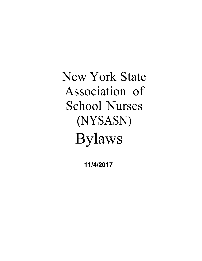New York State<br>Association of Association of School Nurses (NYSASN)

# Bylaws

 **11/4/2017**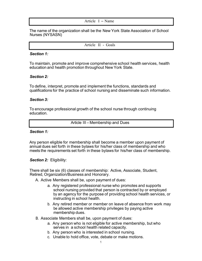#### Article I – Name

The name of the organization shall be the New York State Association of School Nurses (NYSASN)

Article II - Goals

#### *Section 1:*

To maintain, promote and improve comprehensive school health services, health education and health promotion throughout New York State.

#### *Section 2:*

To define, interpret, promote and implement the functions, standards and qualifications for the practice of school nursing and disseminate such information.

#### *Section 3:*

To encourage professional growth of the school nurse through continuing education.

Article III – Membership and Dues

#### *Section 1:*

Any person eligible for membership shall become a member upon payment of annual dues set forth in these bylaws for his/her class of membership and who meets the requirements set forth in these bylaws for his/her class of membership.

*Section 2:* Eligibility:

There shall be six (6) classes of membership: Active, Associate, Student, Retired, Organization/Business and Honorary.

A. Active Members shall be, upon payment of dues:

- a. Any registered professional nurse who promotes and supports school nursing provided that person is contracted by or employed by an agency for the purpose of providing school health services, or instructing in school health.
- b. Any retired member or member on leave of absence from work may be allowed active membership privileges by paying active membership dues.
- B. Associate Members shall be, upon payment of dues:
	- a. Any person who is not eligible for active membership, but who serves in a school health related capacity.
	- b. Any person who is interested in school nursing.
	- c. Unable to hold office, vote, debate or make motions.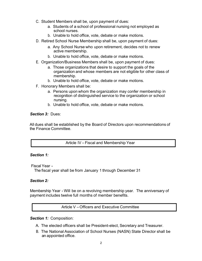- C. Student Members shall be, upon payment of dues:
	- a. Students of a school of professional nursing not employed as school nurses.
	- b. Unable to hold office, vote, debate or make motions.
- D. Retired School Nurse Membership shall be, upon payment of dues:
	- a. Any School Nurse who upon retirement, decides not to renew active membership.
	- b. Unable to hold office, vote, debate or make motions.
- E. Organization/Business Members shall be, upon payment of dues:
	- a. Those organizations that desire to support the goals of the organization and whose members are not eligible for other class of membership.
	- b. Unable to hold office, vote, debate or make motions.
- F. Honorary Members shall be:
	- a. Persons upon whom the organization may confer membership in recognition of distinguished service to the organization or school nursing.
	- b. Unable to hold office, vote, debate or make motions.

#### *Section 3:* Dues:

All dues shall be established by the Board of Directors upon recommendations of the Finance Committee.

Article IV – Fiscal and Membership Year

#### *Section 1:*

Fiscal Year -

The fiscal year shall be from January 1 through December 31

## *Section 2:*

Membership Year -Will be on a revolving membership year. The anniversary of payment includes twelve full months of member benefits.

Article V –Officers and Executive Committee

#### *Section 1:* Composition:

- A. The elected officers shall be President-elect, Secretary and Treasurer.
- B. The National Association of School Nurses (NASN) State Director shall be an appointed office.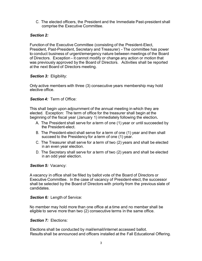C. The elected officers, the President and the Immediate Past-president shall comprise the Executive Committee.

## *Section 2:*

Function of the Executive Committee (consisting of the President-Elect, President, Past-President, Secretary and Treasurer) - The committee has power to conduct business of urgent/emergency nature between meetings of the Board of Directors. Exception - it cannot modify or change any action or motion that was previously approved by the Board of Directors. Activities shall be reported at the next Board of Directors meeting.

## *Section 3:* Eligibility:

Only active members with three (3) consecutive years membership may hold elective office.

#### *Section 4:* Term of Office:

This shall begin upon adjournment of the annual meeting in which they are elected. Exception: The term of office for the treasurer shall begin at the beginning of the fiscal year (January 1) immediately following the election**.**

- A. The President shall serve for a term of one (1) year or until succeeded by the President-elect.
- B. The President-elect shall serve for a term of one (1) year and then shall succeed to the Presidency for a term of one (1) year.
- C. The Treasurer shall serve for a term of two (2) years and shall be elected in an even year election.
- D. The Secretary shall serve for a term of two (2) years and shall be elected in an odd year election.

**Section 5: Vacancy:** 

Avacancy in office shall be filled by ballot vote of the Board of Directors or Executive Committee. In the case of vacancy of President-elect, the successor shall be selected by the Board of Directors with priority from the previous slate of candidates.

**Section 6:** Length of Service:

No member may hold more than one office at a time and no member shall be eligible to serve more than two (2) consecutive terms in the same office.

## *Section 7:* Elections:

Elections shall be conducted by mail/email/internet accessed ballot. Results shall be announced and officers installed at the Fall Educational Offering.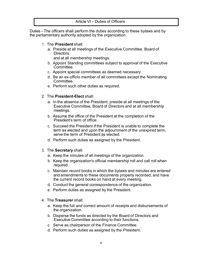Article VI – Duties of Officers

Duties - The officers shall perform the duties according to these bylaws and by the parliamentary authority adopted by the organization.

- 1. The **President** shall:
	- a. Preside at all meetings of the Executive Committee, Board of **Directors**

and at all membership meetings.

- b. Appoint Standing committees subject to approval of the Executive Committee.
- c. Appoint special committees as deemed necessary.
- d. Be an ex-officio member of all committees except the Nominating Committee.
- e. Perform such other duties as required.
- 2. The **President-Elect** shall:
	- a. In the absence of the President, preside at all meetings of the Executive Committee, Board of Directors and at all membership meetings.
	- b. Assume the office of the President at the completion of the President's term of office.
	- c. Succeed the President ifthe President is unable to complete the term as elected and upon the adjournment of the unexpired term, serve the term of President as elected.
	- d. Perform such duties as assigned by the President.
- 3. The **Secretary** shall:
	- a. Keep the minutes of all meetings of the organization.
	- b. Keep the organization's official membership roll and call roll when required.
	- c. Maintain record books in which the bylaws and minutes are entered and amendments to these documents properly recorded, and have the current record books on hand at every meeting.
	- d. Conduct the general correspondence of the organization.
	- e. Perform duties as assigned by the President.
- 4. The **Treasurer** shall:
	- a. Keep the full and correct amount of receipts and disbursements of the organization.
	- b. Disperse the funds as directed by the Board of Directors and Executive Committee according to their functions.
	- c. Serve as chairperson of the Finance Committee.
	- d. Perform such duties as assigned by the President.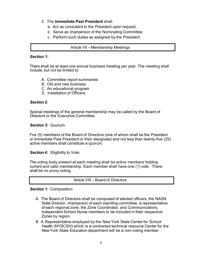# 5. The **Immediate Past President** shall:

- a. Act as consultant to the President upon request.
- b. Serve as chairperson of the Nominating Committee.
- c. Perform such duties as assigned by the President.

Article VII – Membership Meetings

## *Section 1:*

There shall be at least one annual business meeting per year. The meeting shall include, but not be limited to:

- A. Committee report summaries
- B. Old and new business
- C. An educational program
- D. Installation of Officers

## *Section 2:*

Special meetings of the general membership may be called by the Board of Directors or the Executive Committee.

*Section 3:* Quorum:

Five (5) members of the Board of Directors (one of whom shall be the President or Immediate Past President or their designate) and not less than twenty-five (25) active members shall constitute a quorum.

*Section 4:* Eligibility to Vote:

The voting body present at each meeting shall be active members holding current and valid membership. Each member shall have one (1) vote. There shall be no proxy voting.

Article VIII – Board of Directors

*Section 1:* Composition:

- A. The Board of Directors shall be composed of elected officers, the NASN State Director, chairperson of each standing committee, a representative of each regional zone, the Zone Coordinator, and Communications. Independent School Nurse members to be included in their respective Zones by region.
- B. A Representative employed by the New York State Center for School Health (NYSCSH) which is a contracted technical resource Center for the NewYork State Education department will be a non-voting member.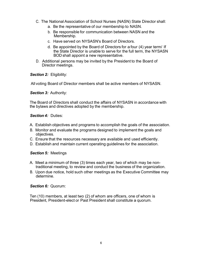- C. The National Association of School Nurses (NASN) State Director shall:
	- a. Be the representative of our membership to NASN.
	- b. Be responsible for communication between NASN and the Membership.
	- c. Have served on NYSASN's Board of Directors.
	- d. Be appointed by the Board of Directors for a four (4) year term/ If the State Director is unable to serve for the full term, the NYSASN BOD shall appoint a new representative.
- D. Additional persons may be invited by the President to the Board of Director meetings.

*Section 2:* Eligibility:

All voting Board of Director members shall be active members of NYSASN.

*Section 3:* Authority:

The Board of Directors shall conduct the affairs of NYSASN in accordance with the bylaws and directives adopted by the membership.

## *Section 4:* Duties:

- A. Establish objectives and programs to accomplish the goals of the association.
- B. Monitor and evaluate the programs designed to implement the goals and objectives.
- C. Ensure that the resources necessary are available and used efficiently.
- D. Establish and maintain current operating guidelines for the association.

#### *Section 5:* Meetings

- A. Meet a minimum of three (3) times each year, two of which may be nontraditional meeting, to review and conduct the business of the organization.
- B. Upon due notice, hold such other meetings as the Executive Committee may determine.

## *Section 6:* Quorum:

Ten (10) members, at least two (2) of whom are officers, one of whom is President, President-elect or Past President shall constitute a quorum.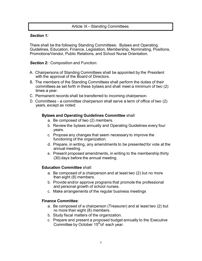# Article IX –Standing Committees

## *Section 1:*

There shall be the following Standing Committees: Bylaws and Operating Guidelines, Education, Finance, Legislation, Membership, Nominating, Positions, Promotions/Vendor, Public Relations, and School Nurse Orientation.

## *Section 2:* Composition and Function:

- A. Chairpersons of Standing Committees shall be appointed by the President with the approval of the Board of Directors.
- B. The members of the Standing Committees shall perform the duties of their committees as set forth in these bylaws and shall meet a minimum of two (2) times a year.
- C. Permanent records shall be transferred to incoming chairperson.
- D. Committees a committee chairperson shall serve a term of office of two (2) years, except as noted:

## **Bylaws and Operating Guidelines Committee** shall:

- a. Be composed of two (2) members.
- b. Review the bylaws annually and Operating Guidelines every four years.
- c. Propose any changes that seem necessary to improve the functioning of the organization.
- d. Prepare, in writing, any amendments to be presented for vote at the annual meeting.
- e. Present proposed amendments, in writing to the membership thirty (30) days before the annual meeting.

## **Education Committee** shall:

- a. Be composed of a chairperson and at least two (2) but no more than eight (8) members.
- b. Provide and/or approve programs that promote the professional and personal growth of school nurses.
- c. Make arrangements of the regular business meetings

## **Finance Committee**:

- a. Be composed of a chairperson (Treasurer) and at least two (2) but no more than eight (8) members.
- b. Study fiscal matters of the organization.
- c. Prepare and present a proposed budget annually to the Executive Committee by October 15<sup>th</sup>of each year.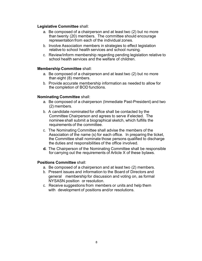## **Legislative Committee** shall:

- a. Be composed of a chairperson and at least two (2) but no more than twenty (20) members. The committee should encourage representation from each of the individual zones.
- b. Involve Association members in strategies to effect legislation relative to school health services and school nursing.
- c. Review/inform membership regarding pending legislation relative to school health services and the welfare of children.

#### **Membership Committee** shall:

- a. Be composed of a chairperson and at least two (2) but no more than eight (8) members.
- b. Provide accurate membership information as needed to allow for the completion of BOD functions.

## **Nominating Committee** shall:

- a. Be composed of a chairperson (Immediate Past-President) and two (2) members.
- b. A candidate nominated for office shall be contacted by the Committee Chairperson and agrees to serve if elected. The nominee shall submit a biographical sketch, which fulfills the requirements of the committee.
- c. The Nominating Committee shall advise the members of the Association of the name (s) for each office. In preparing the ticket, the Committee shall nominate those persons qualified to discharge the duties and responsibilities of the office involved.
- **d.** The Chairperson of the Nominating Committee shall be responsible for carrying out the requirements of Article X of these bylaws.

#### **Positions Committee** shall:

- a. Be composed of a chairperson and at least two (2) members.
- b. Present issues and information to the Board of Directors and general membership for discussion and voting on, as formal NYSASN position or resolution.
- c. Receive suggestions from members or units and help them with development of positions and/or resolutions.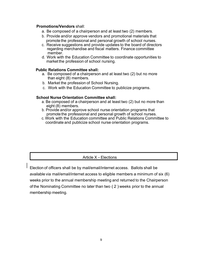#### **Promotions/Vendors** shall:

- a. Be composed of a chairperson and at least two (2) members.
- b. Provide and/or approve vendors and promotional materials that promote the professional and personal growth of school nurses.
- c. Receive suggestions and provide updates to the board of directors regarding merchandise and fiscal matters. Finance committee member.
- d. Work with the Education Committee to coordinate opportunities to market the profession of school nursing.

#### **Public Relations Committee shall:**

- a. Be composed of a chairperson and at least two (2) but no more than eight (8) members.
- b. Market the profession of School Nursing.
- c. Work with the Education Committee to publicize programs.

#### **School Nurse Orientation Committee shall:**

- a. Be composed of a chairperson and at least two (2) but no more than eight (8) members.
- b. Provide and/or approve school nurse orientation programs that promote the professional and personal growth of school nurses.
- c. Work with the Education committee and Public Relations Committee to coordinate and publicize school nurse orientation programs.

# Article X - Elections

Election of officers shall be by mail/email/internet access. Ballots shall be available via mail/email/internet access to eligible members a minimum of six (6) weeks prior to the annual membership meeting and returned to the Chairperson of the Nominating Committee no later than two ( 2 ) weeks prior to the annual membership meeting.